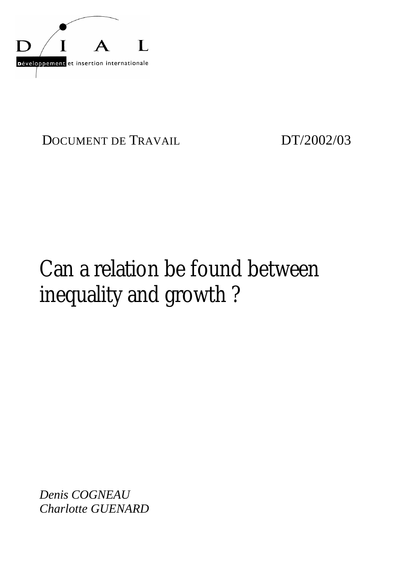

DOCUMENT DE TRAVAIL DT/2002/03

# Can a relation be found between inequality and growth ?

*Denis COGNEAU Charlotte GUENARD*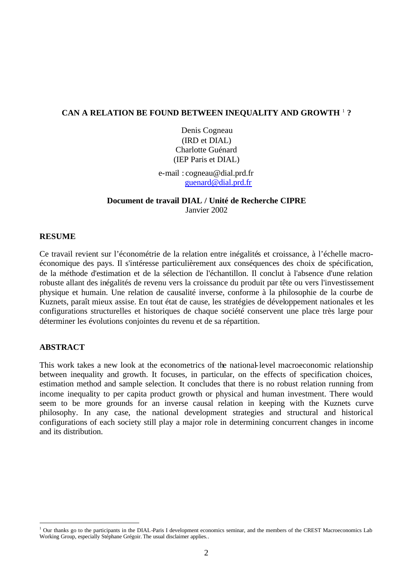# **CAN A RELATION BE FOUND BETWEEN INEQUALITY AND GROWTH** <sup>1</sup> **?**

Denis Cogneau (IRD et DIAL) Charlotte Guénard (IEP Paris et DIAL)

e-mail : cogneau@dial.prd.fr guenard@dial.prd.fr

# **Document de travail DIAL / Unité de Recherche CIPRE** Janvier 2002

# **RESUME**

Ce travail revient sur l'économétrie de la relation entre inégalités et croissance, à l'échelle macroéconomique des pays. Il s'intéresse particulièrement aux conséquences des choix de spécification, de la méthode d'estimation et de la sélection de l'échantillon. Il conclut à l'absence d'une relation robuste allant des inégalités de revenu vers la croissance du produit par tête ou vers l'investissement physique et humain. Une relation de causalité inverse, conforme à la philosophie de la courbe de Kuznets, paraît mieux assise. En tout état de cause, les stratégies de développement nationales et les configurations structurelles et historiques de chaque société conservent une place très large pour déterminer les évolutions conjointes du revenu et de sa répartition.

# **ABSTRACT**

l

This work takes a new look at the econometrics of the national-level macroeconomic relationship between inequality and growth. It focuses, in particular, on the effects of specification choices, estimation method and sample selection. It concludes that there is no robust relation running from income inequality to per capita product growth or physical and human investment. There would seem to be more grounds for an inverse causal relation in keeping with the Kuznets curve philosophy. In any case, the national development strategies and structural and historical configurations of each society still play a major role in determining concurrent changes in income and its distribution.

<sup>&</sup>lt;sup>1</sup> Our thanks go to the participants in the DIAL-Paris I development economics seminar, and the members of the CREST Macroeconomics Lab Working Group, especially Stéphane Grégoir. The usual disclaimer applies..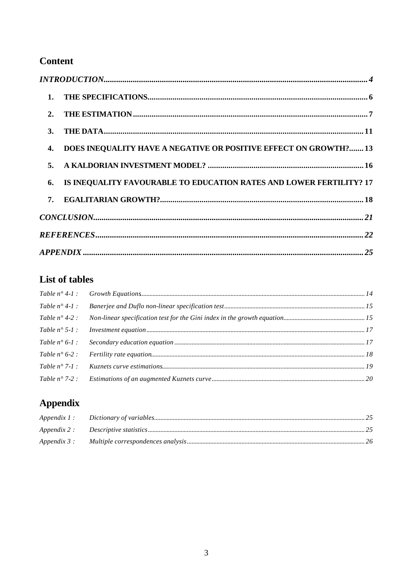# **Content**

| 1.                                                                        |
|---------------------------------------------------------------------------|
| 2.                                                                        |
| <b>3.</b>                                                                 |
| DOES INEQUALITY HAVE A NEGATIVE OR POSITIVE EFFECT ON GROWTH? 13<br>4.    |
| 5.                                                                        |
| IS INEQUALITY FAVOURABLE TO EDUCATION RATES AND LOWER FERTILITY? 17<br>6. |
| 7.                                                                        |
|                                                                           |
|                                                                           |
|                                                                           |

# List of tables

| Table $n^{\circ}$ 4-2 : |  |
|-------------------------|--|
| Table $n^{\circ}$ 5-1:  |  |
| Table $n^{\circ}$ 6-1:  |  |
|                         |  |
| Table $n^{\circ}$ 7-1 : |  |
| Table $n^{\circ}$ 7-2 : |  |

# **Appendix**

| Appendix 1 : |  |
|--------------|--|
| Appendix 2 : |  |
| Appendix 3 : |  |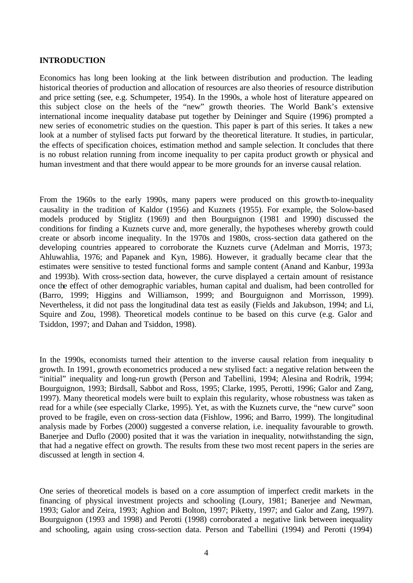## **INTRODUCTION**

Economics has long been looking at the link between distribution and production. The leading historical theories of production and allocation of resources are also theories of resource distribution and price setting (see, e.g. Schumpeter, 1954). In the 1990s, a whole host of literature appeared on this subject close on the heels of the "new" growth theories. The World Bank's extensive international income inequality database put together by Deininger and Squire (1996) prompted a new series of econometric studies on the question. This paper is part of this series. It takes a new look at a number of stylised facts put forward by the theoretical literature. It studies, in particular, the effects of specification choices, estimation method and sample selection. It concludes that there is no robust relation running from income inequality to per capita product growth or physical and human investment and that there would appear to be more grounds for an inverse causal relation.

From the 1960s to the early 1990s, many papers were produced on this growth-to-inequality causality in the tradition of Kaldor (1956) and Kuznets (1955). For example, the Solow-based models produced by Stiglitz (1969) and then Bourguignon (1981 and 1990) discussed the conditions for finding a Kuznets curve and, more generally, the hypotheses whereby growth could create or absorb income inequality. In the 1970s and 1980s, cross-section data gathered on the developing countries appeared to corroborate the Kuznets curve (Adelman and Morris, 1973; Ahluwahlia, 1976; and Papanek and Kyn, 1986). However, it gradually became clear that the estimates were sensitive to tested functional forms and sample content (Anand and Kanbur, 1993a and 1993b). With cross-section data, however, the curve displayed a certain amount of resistance once the effect of other demographic variables, human capital and dualism, had been controlled for (Barro, 1999; Higgins and Williamson, 1999; and Bourguignon and Morrisson, 1999). Nevertheless, it did not pass the longitudinal data test as easily (Fields and Jakubson, 1994; and Li, Squire and Zou, 1998). Theoretical models continue to be based on this curve (e.g. Galor and Tsiddon, 1997; and Dahan and Tsiddon, 1998).

In the 1990s, economists turned their attention to the inverse causal relation from inequality to growth. In 1991, growth econometrics produced a new stylised fact: a negative relation between the "initial" inequality and long-run growth (Person and Tabellini, 1994; Alesina and Rodrik, 1994; Bourguignon, 1993; Birdsall, Sabbot and Ross, 1995; Clarke, 1995, Perotti, 1996; Galor and Zang, 1997). Many theoretical models were built to explain this regularity, whose robustness was taken as read for a while (see especially Clarke, 1995). Yet, as with the Kuznets curve, the "new curve" soon proved to be fragile, even on cross-section data (Fishlow, 1996; and Barro, 1999). The longitudinal analysis made by Forbes (2000) suggested a converse relation, i.e. inequality favourable to growth. Banerjee and Duflo (2000) posited that it was the variation in inequality, notwithstanding the sign, that had a negative effect on growth. The results from these two most recent papers in the series are discussed at length in section 4.

One series of theoretical models is based on a core assumption of imperfect credit markets in the financing of physical investment projects and schooling (Loury, 1981; Banerjee and Newman, 1993; Galor and Zeira, 1993; Aghion and Bolton, 1997; Piketty, 1997; and Galor and Zang, 1997). Bourguignon (1993 and 1998) and Perotti (1998) corroborated a negative link between inequality and schooling, again using cross-section data. Person and Tabellini (1994) and Perotti (1994)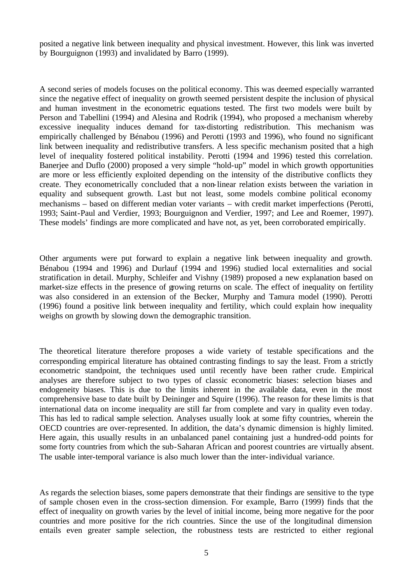posited a negative link between inequality and physical investment. However, this link was inverted by Bourguignon (1993) and invalidated by Barro (1999).

A second series of models focuses on the political economy. This was deemed especially warranted since the negative effect of inequality on growth seemed persistent despite the inclusion of physical and human investment in the econometric equations tested. The first two models were built by Person and Tabellini (1994) and Alesina and Rodrik (1994), who proposed a mechanism whereby excessive inequality induces demand for tax-distorting redistribution. This mechanism was empirically challenged by Bénabou (1996) and Perotti (1993 and 1996), who found no significant link between inequality and redistributive transfers. A less specific mechanism posited that a high level of inequality fostered political instability. Perotti (1994 and 1996) tested this correlation. Banerjee and Duflo (2000) proposed a very simple "hold-up" model in which growth opportunities are more or less efficiently exploited depending on the intensity of the distributive conflicts they create. They econometrically concluded that a non-linear relation exists between the variation in equality and subsequent growth. Last but not least, some models combine political economy mechanisms – based on different median voter variants – with credit market imperfections (Perotti, 1993; Saint-Paul and Verdier, 1993; Bourguignon and Verdier, 1997; and Lee and Roemer, 1997). These models' findings are more complicated and have not, as yet, been corroborated empirically.

Other arguments were put forward to explain a negative link between inequality and growth. Bénabou (1994 and 1996) and Durlauf (1994 and 1996) studied local externalities and social stratification in detail. Murphy, Schleifer and Vishny (1989) proposed a new explanation based on market-size effects in the presence of growing returns on scale. The effect of inequality on fertility was also considered in an extension of the Becker, Murphy and Tamura model (1990). Perotti (1996) found a positive link between inequality and fertility, which could explain how inequality weighs on growth by slowing down the demographic transition.

The theoretical literature therefore proposes a wide variety of testable specifications and the corresponding empirical literature has obtained contrasting findings to say the least. From a strictly econometric standpoint, the techniques used until recently have been rather crude. Empirical analyses are therefore subject to two types of classic econometric biases: selection biases and endogeneity biases. This is due to the limits inherent in the available data, even in the most comprehensive base to date built by Deininger and Squire (1996). The reason for these limits is that international data on income inequality are still far from complete and vary in quality even today. This has led to radical sample selection. Analyses usually look at some fifty countries, wherein the OECD countries are over-represented. In addition, the data's dynamic dimension is highly limited. Here again, this usually results in an unbalanced panel containing just a hundred-odd points for some forty countries from which the sub-Saharan African and poorest countries are virtually absent. The usable inter-temporal variance is also much lower than the inter-individual variance.

As regards the selection biases, some papers demonstrate that their findings are sensitive to the type of sample chosen even in the cross-section dimension. For example, Barro (1999) finds that the effect of inequality on growth varies by the level of initial income, being more negative for the poor countries and more positive for the rich countries. Since the use of the longitudinal dimension entails even greater sample selection, the robustness tests are restricted to either regional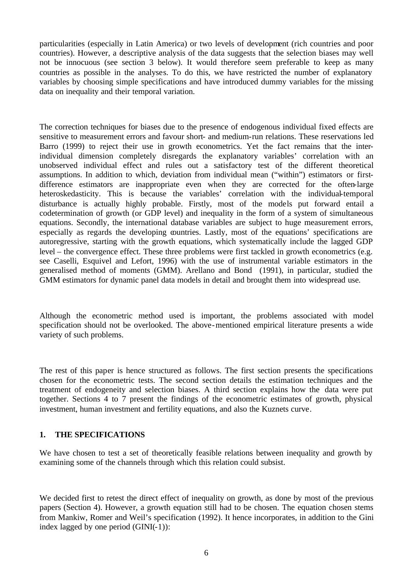particularities (especially in Latin America) or two levels of development (rich countries and poor countries). However, a descriptive analysis of the data suggests that the selection biases may well not be innocuous (see section 3 below). It would therefore seem preferable to keep as many countries as possible in the analyses. To do this, we have restricted the number of explanatory variables by choosing simple specifications and have introduced dummy variables for the missing data on inequality and their temporal variation.

The correction techniques for biases due to the presence of endogenous individual fixed effects are sensitive to measurement errors and favour short- and medium-run relations. These reservations led Barro (1999) to reject their use in growth econometrics. Yet the fact remains that the interindividual dimension completely disregards the explanatory variables' correlation with an unobserved individual effect and rules out a satisfactory test of the different theoretical assumptions. In addition to which, deviation from individual mean ("within") estimators or firstdifference estimators are inappropriate even when they are corrected for the often-large heteroskedasticity. This is because the variables' correlation with the individual-temporal disturbance is actually highly probable. Firstly, most of the models put forward entail a codetermination of growth (or GDP level) and inequality in the form of a system of simultaneous equations. Secondly, the international database variables are subject to huge measurement errors, especially as regards the developing countries. Lastly, most of the equations' specifications are autoregressive, starting with the growth equations, which systematically include the lagged GDP level – the convergence effect. These three problems were first tackled in growth econometrics (e.g. see Caselli, Esquivel and Lefort, 1996) with the use of instrumental variable estimators in the generalised method of moments (GMM). Arellano and Bond (1991), in particular, studied the GMM estimators for dynamic panel data models in detail and brought them into widespread use.

Although the econometric method used is important, the problems associated with model specification should not be overlooked. The above-mentioned empirical literature presents a wide variety of such problems.

The rest of this paper is hence structured as follows. The first section presents the specifications chosen for the econometric tests. The second section details the estimation techniques and the treatment of endogeneity and selection biases. A third section explains how the data were put together. Sections 4 to 7 present the findings of the econometric estimates of growth, physical investment, human investment and fertility equations, and also the Kuznets curve.

# **1. THE SPECIFICATIONS**

We have chosen to test a set of theoretically feasible relations between inequality and growth by examining some of the channels through which this relation could subsist.

We decided first to retest the direct effect of inequality on growth, as done by most of the previous papers (Section 4). However, a growth equation still had to be chosen. The equation chosen stems from Mankiw, Romer and Weil's specification (1992). It hence incorporates, in addition to the Gini index lagged by one period (GINI(-1)):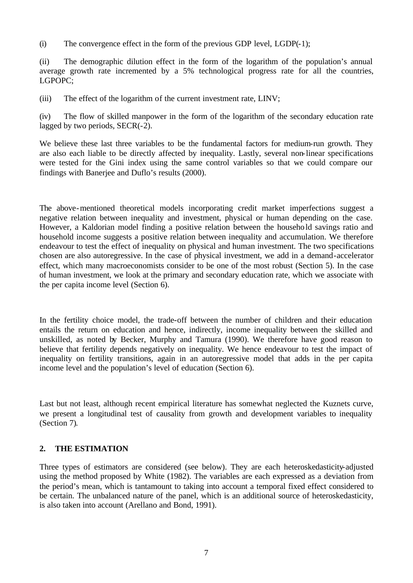(i) The convergence effect in the form of the previous GDP level, LGDP(-1);

(ii) The demographic dilution effect in the form of the logarithm of the population's annual average growth rate incremented by a 5% technological progress rate for all the countries, LGPOPC;

(iii) The effect of the logarithm of the current investment rate, LINV;

(iv) The flow of skilled manpower in the form of the logarithm of the secondary education rate lagged by two periods, SECR(-2).

We believe these last three variables to be the fundamental factors for medium-run growth. They are also each liable to be directly affected by inequality. Lastly, several non-linear specifications were tested for the Gini index using the same control variables so that we could compare our findings with Banerjee and Duflo's results (2000).

The above-mentioned theoretical models incorporating credit market imperfections suggest a negative relation between inequality and investment, physical or human depending on the case. However, a Kaldorian model finding a positive relation between the household savings ratio and household income suggests a positive relation between inequality and accumulation. We therefore endeavour to test the effect of inequality on physical and human investment. The two specifications chosen are also autoregressive. In the case of physical investment, we add in a demand-accelerator effect, which many macroeconomists consider to be one of the most robust (Section 5). In the case of human investment, we look at the primary and secondary education rate, which we associate with the per capita income level (Section 6).

In the fertility choice model, the trade-off between the number of children and their education entails the return on education and hence, indirectly, income inequality between the skilled and unskilled, as noted by Becker, Murphy and Tamura (1990). We therefore have good reason to believe that fertility depends negatively on inequality. We hence endeavour to test the impact of inequality on fertility transitions, again in an autoregressive model that adds in the per capita income level and the population's level of education (Section 6).

Last but not least, although recent empirical literature has somewhat neglected the Kuznets curve, we present a longitudinal test of causality from growth and development variables to inequality (Section 7).

# **2. THE ESTIMATION**

Three types of estimators are considered (see below). They are each heteroskedasticity-adjusted using the method proposed by White (1982). The variables are each expressed as a deviation from the period's mean, which is tantamount to taking into account a temporal fixed effect considered to be certain. The unbalanced nature of the panel, which is an additional source of heteroskedasticity, is also taken into account (Arellano and Bond, 1991).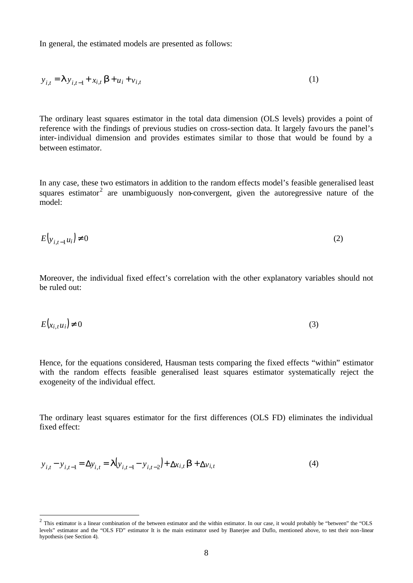In general, the estimated models are presented as follows:

$$
y_{i,t} = \mathbf{I} y_{i,t-1} + x_{i,t} \mathbf{b} + u_i + v_{i,t}
$$
 (1)

The ordinary least squares estimator in the total data dimension (OLS levels) provides a point of reference with the findings of previous studies on cross-section data. It largely favours the panel's inter-individual dimension and provides estimates similar to those that would be found by a between estimator.

In any case, these two estimators in addition to the random effects model's feasible generalised least squares estimator<sup>2</sup> are unambiguously non-convergent, given the autoregressive nature of the model:

$$
E\big|_{\mathcal{V}_{i,t-1}u_i}\big| \neq 0\tag{2}
$$

Moreover, the individual fixed effect's correlation with the other explanatory variables should not be ruled out:

$$
E(x_{i,t}u_i) \neq 0 \tag{3}
$$

Hence, for the equations considered, Hausman tests comparing the fixed effects "within" estimator with the random effects feasible generalised least squares estimator systematically reject the exogeneity of the individual effect.

The ordinary least squares estimator for the first differences (OLS FD) eliminates the individual fixed effect:

$$
y_{i,t} - y_{i,t-1} = \Delta y_{i,t} = I(y_{i,t-1} - y_{i,t-2}) + \Delta x_{i,t} \mathbf{b} + \Delta y_{i,t}
$$
 (4)

l

<sup>&</sup>lt;sup>2</sup> This estimator is a linear combination of the between estimator and the within estimator. In our case, it would probably be "between" the "OLS levels" estimator and the "OLS FD" estimator It is the main estimator used by Banerjee and Duflo, mentioned above, to test their non-linear hypothesis (see Section 4).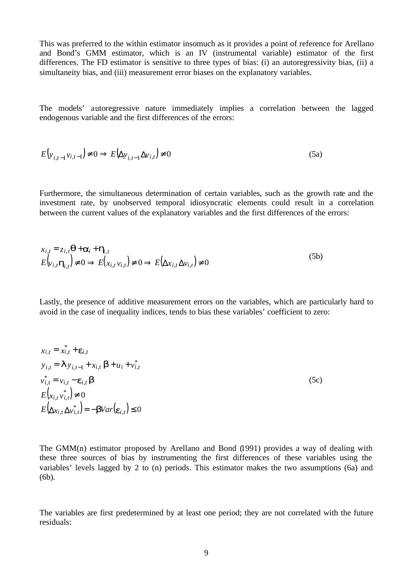This was preferred to the within estimator insomuch as it provides a point of reference for Arellano and Bond's GMM estimator, which is an IV (instrumental variable) estimator of the first differences. The FD estimator is sensitive to three types of bias: (i) an autoregressivity bias, (ii) a simultaneity bias, and (iii) measurement error biases on the explanatory variables.

The models' autoregressive nature immediately implies a correlation between the lagged endogenous variable and the first differences of the errors:

$$
E\left(\mathbf{y}_{i,t-1}\mathbf{v}_{i,t-1}\right) \neq 0 \Rightarrow E\left(\Delta \mathbf{y}_{i,t-1}\Delta \mathbf{v}_{i,t}\right) \neq 0
$$
\n(5a)

Furthermore, the simultaneous determination of certain variables, such as the growth rate and the investment rate, by unobserved temporal idiosyncratic elements could result in a correlation between the current values of the explanatory variables and the first differences of the errors:

$$
x_{i,t} = z_{i,t} \mathbf{q} + \mathbf{a}_i + \mathbf{h}_{i,t}
$$
  
\n
$$
E\left(\mathbf{v}_{i,t} \mathbf{h}_{i,t}\right) \neq 0 \Rightarrow E\left(x_{i,t} \mathbf{v}_{i,t}\right) \neq 0 \Rightarrow E\left(\Delta x_{i,t} \Delta v_{i,t}\right) \neq 0
$$
\n(5b)

Lastly, the presence of additive measurement errors on the variables, which are particularly hard to avoid in the case of inequality indices, tends to bias these variables' coefficient to zero:

$$
x_{i,t} = x_{i,t}^* + \mathbf{e}_{i,t}
$$
  
\n
$$
y_{i,t} = \mathbf{I} y_{i,t-1} + x_{i,t} \mathbf{b} + u_i + v_{i,t}^*
$$
  
\n
$$
v_{i,t}^* = v_{i,t} - \mathbf{e}_{i,t} \mathbf{b}
$$
  
\n
$$
E(x_{i,t} v_{i,t}^*) \neq 0
$$
  
\n
$$
E(\Delta x_{i,t} \Delta v_{i,t}^*) = -\mathbf{b}Var(\mathbf{e}_{i,t}) \leq 0
$$
 (5c)

The GMM(n) estimator proposed by Arellano and Bond (1991) provides a way of dealing with these three sources of bias by instrumenting the first differences of these variables using the variables' levels lagged by 2 to (n) periods. This estimator makes the two assumptions (6a) and (6b).

The variables are first predetermined by at least one period; they are not correlated with the future residuals: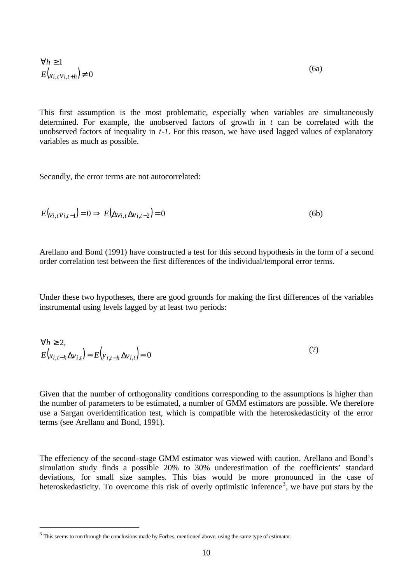$$
\forall h \ge 1
$$
  

$$
E(x_{i,t}v_{i,t+h}) \ne 0
$$
 (6a)

This first assumption is the most problematic, especially when variables are simultaneously determined. For example, the unobserved factors of growth in *t* can be correlated with the unobserved factors of inequality in *t-1*. For this reason, we have used lagged values of explanatory variables as much as possible.

Secondly, the error terms are not autocorrelated:

$$
E\left(\nu_{i,t}\nu_{i,t-1}\right) = 0 \Rightarrow E\left(\Delta\nu_{i,t}\Delta\nu_{i,t-2}\right) = 0\tag{6b}
$$

Arellano and Bond (1991) have constructed a test for this second hypothesis in the form of a second order correlation test between the first differences of the individual/temporal error terms.

Under these two hypotheses, there are good grounds for making the first differences of the variables instrumental using levels lagged by at least two periods:

$$
\forall h \ge 2,E\left(x_{i,t-h}\Delta v_{i,t}\right) = E\left(y_{i,t-h}\Delta v_{i,t}\right) = 0
$$
\n(7)

Given that the number of orthogonality conditions corresponding to the assumptions is higher than the number of parameters to be estimated, a number of GMM estimators are possible. We therefore use a Sargan overidentification test, which is compatible with the heteroskedasticity of the error terms (see Arellano and Bond, 1991).

The effeciency of the second-stage GMM estimator was viewed with caution. Arellano and Bond's simulation study finds a possible 20% to 30% underestimation of the coefficients' standard deviations, for small size samples. This bias would be more pronounced in the case of heteroskedasticity. To overcome this risk of overly optimistic inference<sup>3</sup>, we have put stars by the

l

 $3$  This seems to run through the conclusions made by Forbes, mentioned above, using the same type of estimator.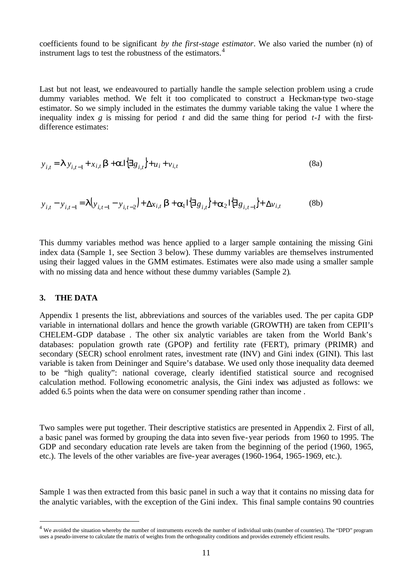coefficients found to be significant *by the first-stage estimator*. We also varied the number (n) of instrument lags to test the robustness of the estimators.<sup>4</sup>

Last but not least, we endeavoured to partially handle the sample selection problem using a crude dummy variables method. We felt it too complicated to construct a Heckman-type two-stage estimator. So we simply included in the estimates the dummy variable taking the value 1 where the inequality index  $g$  is missing for period  $t$  and did the same thing for period  $t$ -*1* with the firstdifference estimates:

$$
y_{i,t} = \mathbf{I} y_{i,t-1} + x_{i,t} \mathbf{b} + \mathbf{a} \cdot \mathbf{I} \left\{ \exists g_{i,t} \right\} + u_i + v_{i,t}
$$
 (8a)

$$
y_{i,t} - y_{i,t-1} = \mathbf{I}\Big(y_{i,t-1} - y_{i,t-2}\Big) + \Delta x_{i,t} \mathbf{b} + \mathbf{a}_1 \mathbf{I} \Big\{ \exists g_{i,t} \Big\} + \mathbf{a}_2 \mathbf{I} \Big\{ \exists g_{i,t-1} \Big\} + \Delta v_{i,t}
$$
 (8b)

This dummy variables method was hence applied to a larger sample containing the missing Gini index data (Sample 1, see Section 3 below). These dummy variables are themselves instrumented using their lagged values in the GMM estimates. Estimates were also made using a smaller sample with no missing data and hence without these dummy variables (Sample 2).

#### **3. THE DATA**

l

Appendix 1 presents the list, abbreviations and sources of the variables used. The per capita GDP variable in international dollars and hence the growth variable (GROWTH) are taken from CEPII's CHELEM-GDP database . The other six analytic variables are taken from the World Bank's databases: population growth rate (GPOP) and fertility rate (FERT), primary (PRIMR) and secondary (SECR) school enrolment rates, investment rate (INV) and Gini index (GINI). This last variable is taken from Deininger and Squire's database. We used only those inequality data deemed to be "high quality": national coverage, clearly identified statistical source and recognised calculation method. Following econometric analysis, the Gini index was adjusted as follows: we added 6.5 points when the data were on consumer spending rather than income .

Two samples were put together. Their descriptive statistics are presented in Appendix 2. First of all, a basic panel was formed by grouping the data into seven five-year periods from 1960 to 1995. The GDP and secondary education rate levels are taken from the beginning of the period (1960, 1965, etc.). The levels of the other variables are five-year averages (1960-1964, 1965-1969, etc.).

Sample 1 was then extracted from this basic panel in such a way that it contains no missing data for the analytic variables, with the exception of the Gini index. This final sample contains 90 countries

 $4\,$  We avoided the situation whereby the number of instruments exceeds the number of individual units (number of countries). The "DPD" program uses a pseudo-inverse to calculate the matrix of weights from the orthogonality conditions and provides extremely efficient results.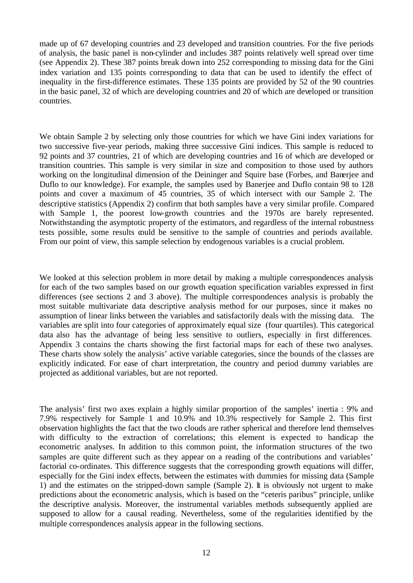made up of 67 developing countries and 23 developed and transition countries. For the five periods of analysis, the basic panel is non-cylinder and includes 387 points relatively well spread over time (see Appendix 2). These 387 points break down into 252 corresponding to missing data for the Gini index variation and 135 points corresponding to data that can be used to identify the effect of inequality in the first-difference estimates. These 135 points are provided by 52 of the 90 countries in the basic panel, 32 of which are developing countries and 20 of which are developed or transition countries.

We obtain Sample 2 by selecting only those countries for which we have Gini index variations for two successive five-year periods, making three successive Gini indices. This sample is reduced to 92 points and 37 countries, 21 of which are developing countries and 16 of which are developed or transition countries. This sample is very similar in size and composition to those used by authors working on the longitudinal dimension of the Deininger and Squire base (Forbes, and Banerjee and Duflo to our knowledge). For example, the samples used by Banerjee and Duflo contain 98 to 128 points and cover a maximum of 45 countries, 35 of which intersect with our Sample 2. The descriptive statistics (Appendix 2) confirm that both samples have a very similar profile. Compared with Sample 1, the poorest low-growth countries and the 1970s are barely represented. Notwithstanding the asymptotic property of the estimators, and regardless of the internal robustness tests possible, some results could be sensitive to the sample of countries and periods available. From our point of view, this sample selection by endogenous variables is a crucial problem.

We looked at this selection problem in more detail by making a multiple correspondences analysis for each of the two samples based on our growth equation specification variables expressed in first differences (see sections 2 and 3 above). The multiple correspondences analysis is probably the most suitable multivariate data descriptive analysis method for our purposes, since it makes no assumption of linear links between the variables and satisfactorily deals with the missing data. The variables are split into four categories of approximately equal size (four quartiles). This categorical data also has the advantage of being less sensitive to outliers, especially in first differences. Appendix 3 contains the charts showing the first factorial maps for each of these two analyses. These charts show solely the analysis' active variable categories, since the bounds of the classes are explicitly indicated. For ease of chart interpretation, the country and period dummy variables are projected as additional variables, but are not reported.

The analysis' first two axes explain a highly similar proportion of the samples' inertia : 9% and 7.9% respectively for Sample 1 and 10.9% and 10.3% respectively for Sample 2. This first observation highlights the fact that the two clouds are rather spherical and therefore lend themselves with difficulty to the extraction of correlations; this element is expected to handicap the econometric analyses. In addition to this common point, the information structures of the two samples are quite different such as they appear on a reading of the contributions and variables' factorial co-ordinates. This difference suggests that the corresponding growth equations will differ, especially for the Gini index effects, between the estimates with dummies for missing data (Sample 1) and the estimates on the stripped-down sample (Sample 2). It is obviously not urgent to make predictions about the econometric analysis, which is based on the "ceteris paribus" principle, unlike the descriptive analysis. Moreover, the instrumental variables methods subsequently applied are supposed to allow for a causal reading. Nevertheless, some of the regularities identified by the multiple correspondences analysis appear in the following sections.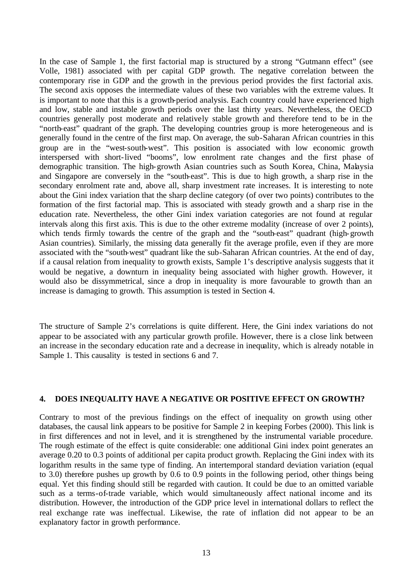In the case of Sample 1, the first factorial map is structured by a strong "Gutmann effect" (see Volle, 1981) associated with per capital GDP growth. The negative correlation between the contemporary rise in GDP and the growth in the previous period provides the first factorial axis. The second axis opposes the intermediate values of these two variables with the extreme values. It is important to note that this is a growth-period analysis. Each country could have experienced high and low, stable and instable growth periods over the last thirty years. Nevertheless, the OECD countries generally post moderate and relatively stable growth and therefore tend to be in the "north-east" quadrant of the graph. The developing countries group is more heterogeneous and is generally found in the centre of the first map. On average, the sub-Saharan African countries in this group are in the "west-south-west". This position is associated with low economic growth interspersed with short-lived "booms", low enrolment rate changes and the first phase of demographic transition. The high-growth Asian countries such as South Korea, China, Malaysia and Singapore are conversely in the "south-east". This is due to high growth, a sharp rise in the secondary enrolment rate and, above all, sharp investment rate increases. It is interesting to note about the Gini index variation that the sharp decline category (of over two points) contributes to the formation of the first factorial map. This is associated with steady growth and a sharp rise in the education rate. Nevertheless, the other Gini index variation categories are not found at regular intervals along this first axis. This is due to the other extreme modality (increase of over 2 points), which tends firmly towards the centre of the graph and the "south-east" quadrant (high-growth Asian countries). Similarly, the missing data generally fit the average profile, even if they are more associated with the "south-west" quadrant like the sub-Saharan African countries. At the end of day, if a causal relation from inequality to growth exists, Sample 1's descriptive analysis suggests that it would be negative, a downturn in inequality being associated with higher growth. However, it would also be dissymmetrical, since a drop in inequality is more favourable to growth than an increase is damaging to growth. This assumption is tested in Section 4.

The structure of Sample 2's correlations is quite different. Here, the Gini index variations do not appear to be associated with any particular growth profile. However, there is a close link between an increase in the secondary education rate and a decrease in inequality, which is already notable in Sample 1. This causality is tested in sections 6 and 7.

#### **4. DOES INEQUALITY HAVE A NEGATIVE OR POSITIVE EFFECT ON GROWTH?**

Contrary to most of the previous findings on the effect of inequality on growth using other databases, the causal link appears to be positive for Sample 2 in keeping Forbes (2000). This link is in first differences and not in level, and it is strengthened by the instrumental variable procedure. The rough estimate of the effect is quite considerable: one additional Gini index point generates an average 0.20 to 0.3 points of additional per capita product growth. Replacing the Gini index with its logarithm results in the same type of finding. An intertemporal standard deviation variation (equal to 3.0) therefore pushes up growth by 0.6 to 0.9 points in the following period, other things being equal. Yet this finding should still be regarded with caution. It could be due to an omitted variable such as a terms-of-trade variable, which would simultaneously affect national income and its distribution. However, the introduction of the GDP price level in international dollars to reflect the real exchange rate was ineffectual. Likewise, the rate of inflation did not appear to be an explanatory factor in growth performance.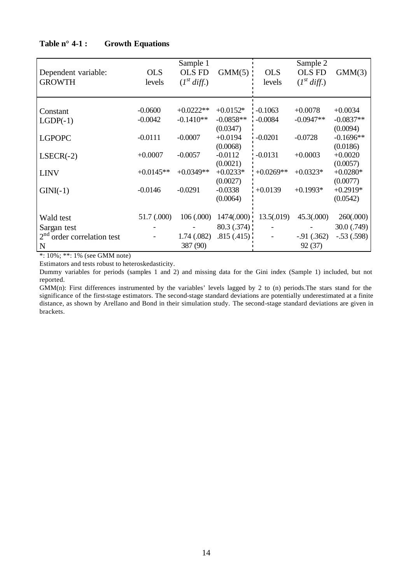|                                           |             | Sample 1         |             |             | Sample 2         |                 |
|-------------------------------------------|-------------|------------------|-------------|-------------|------------------|-----------------|
| Dependent variable:                       | <b>OLS</b>  | <b>OLS FD</b>    | $GMM(5)$ :  | <b>OLS</b>  | <b>OLS FD</b>    | GMM(3)          |
| <b>GROWTH</b>                             | levels      | $(I^{st}$ diff.) |             | levels      | $(I^{st}$ diff.) |                 |
|                                           |             |                  |             |             |                  |                 |
|                                           |             |                  |             |             |                  |                 |
| Constant                                  | $-0.0600$   | $+0.0222**$      | $+0.0152*$  | $-0.1063$   | $+0.0078$        | $+0.0034$       |
| $LGDP(-1)$                                | $-0.0042$   | $-0.1410**$      | $-0.0858**$ | $-0.0084$   | $-0.0947**$      | $-0.0837**$     |
|                                           |             |                  | (0.0347)    |             |                  | (0.0094)        |
| <b>LGPOPC</b>                             | $-0.0111$   | $-0.0007$        | $+0.0194$   | $-0.0201$   | $-0.0728$        | $-0.1696**$     |
|                                           |             |                  | (0.0068)    |             |                  | (0.0186)        |
| $LSECR(-2)$                               | $+0.0007$   | $-0.0057$        | $-0.0112$   | $-0.0131$   | $+0.0003$        | $+0.0020$       |
|                                           |             |                  | (0.0021)    |             |                  | (0.0057)        |
| <b>LINV</b>                               | $+0.0145**$ | $+0.0349**$      | $+0.0233*$  | $+0.0269**$ | $+0.0323*$       | $+0.0280*$      |
|                                           |             |                  | (0.0027)    |             |                  | (0.0077)        |
| $GINI(-1)$                                | $-0.0146$   | $-0.0291$        | $-0.0338$   | $+0.0139$   | $+0.1993*$       | $+0.2919*$      |
|                                           |             |                  | (0.0064)    |             |                  | (0.0542)        |
|                                           |             |                  |             |             |                  |                 |
| Wald test                                 | 51.7 (.000) | 106(.000)        | 1474(.000)  | 13.5(.019)  | 45.3(.000)       | 260(.000)       |
| Sargan test                               |             |                  | 80.3(.374)  |             |                  | $30.0$ $(.749)$ |
| 2 <sup>nd</sup><br>order correlation test |             | 1.74 (.082)      | .815(.415)  |             | $-.91(.362)$     | $-.53(.598)$    |
| N                                         |             | 387 (90)         |             |             | 92 (37)          |                 |

# **Table n° 4-1 : Growth Equations**

\*: 10%; \*\*: 1% (see GMM note)

Estimators and tests robust to heteroskedasticity.

Dummy variables for periods (samples 1 and 2) and missing data for the Gini index (Sample 1) included, but not reported.

GMM(n): First differences instrumented by the variables' levels lagged by 2 to (n) periods.The stars stand for the significance of the first-stage estimators. The second-stage standard deviations are potentially underestimated at a finite distance, as shown by Arellano and Bond in their simulation study. The second-stage standard deviations are given in brackets.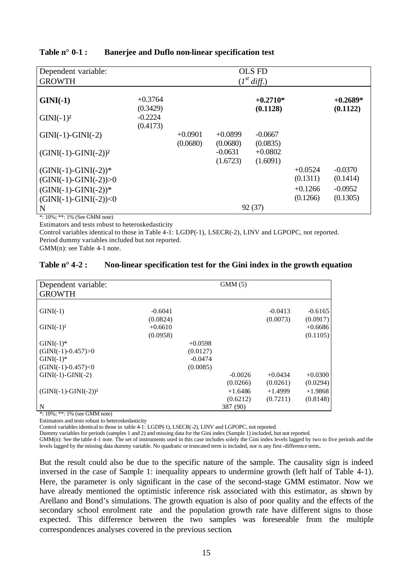| Dependent variable:       | OLS FD                |                  |           |                        |           |                        |  |  |
|---------------------------|-----------------------|------------------|-----------|------------------------|-----------|------------------------|--|--|
| <b>GROWTH</b>             |                       | $(I^{st}$ diff.) |           |                        |           |                        |  |  |
| $GINI(-1)$                | $+0.3764$<br>(0.3429) |                  |           | $+0.2710*$<br>(0.1128) |           | $+0.2689*$<br>(0.1122) |  |  |
| $GINI(-1)2$               | $-0.2224$<br>(0.4173) |                  |           |                        |           |                        |  |  |
| $GINI(-1)-GINI(-2)$       |                       | $+0.0901$        | $+0.0899$ | $-0.0667$              |           |                        |  |  |
|                           |                       | (0.0680)         | (0.0680)  | (0.0835)               |           |                        |  |  |
| $(GINI(-1)-GINI(-2))^{2}$ |                       |                  | $-0.0631$ | $+0.0802$              |           |                        |  |  |
|                           |                       |                  | (1.6723)  | (1.6091)               |           |                        |  |  |
| $(GINI(-1)-GINI(-2))*$    |                       |                  |           |                        | $+0.0524$ | $-0.0370$              |  |  |
| $(GINI(-1)-GINI(-2))>0$   |                       |                  |           |                        | (0.1311)  | (0.1414)               |  |  |
| $(GINI(-1)-GINI(-2))*$    |                       |                  |           |                        | $+0.1266$ | $-0.0952$              |  |  |
| $(GINI(-1)-GINI(-2))<0$   |                       |                  |           |                        | (0.1266)  | (0.1305)               |  |  |
| N                         |                       |                  |           | 92(37)                 |           |                        |  |  |

# **Table n° 0-1 : Banerjee and Duflo non-linear specification test**

\*: 10%; \*\*: 1% (See GMM note)

Estimators and tests robust to heteroskedasticity

Control variables identical to those in Table 4-1: LGDP(-1), LSECR(-2), LINV and LGPOPC, not reported. Period dummy variables included but not reported.

GMM(n): see Table 4-1 note.

| Table $n^{\circ}$ 4-2 : | Non-linear specification test for the Gini index in the growth equation |  |  |  |  |  |
|-------------------------|-------------------------------------------------------------------------|--|--|--|--|--|
|-------------------------|-------------------------------------------------------------------------|--|--|--|--|--|

| Dependent variable:<br><b>GROWTH</b>                                                                                                                                                                                                                                                                                                                          |                       |           | GMM(5)    |                       |                       |
|---------------------------------------------------------------------------------------------------------------------------------------------------------------------------------------------------------------------------------------------------------------------------------------------------------------------------------------------------------------|-----------------------|-----------|-----------|-----------------------|-----------------------|
| $GINI(-1)$                                                                                                                                                                                                                                                                                                                                                    | $-0.6041$<br>(0.0824) |           |           | $-0.0413$<br>(0.0073) | $-0.6165$<br>(0.0917) |
| $GINI(-1)2$                                                                                                                                                                                                                                                                                                                                                   | $+0.6610$<br>(0.0958) |           |           |                       | $+0.6686$<br>(0.1105) |
| $GINI(-1)*$                                                                                                                                                                                                                                                                                                                                                   |                       | $+0.0598$ |           |                       |                       |
| $(GINI(-1)-0.457) > 0$                                                                                                                                                                                                                                                                                                                                        |                       | (0.0127)  |           |                       |                       |
| $GINI(-1)*$                                                                                                                                                                                                                                                                                                                                                   |                       | $-0.0474$ |           |                       |                       |
| $(GINI(-1)-0.457)<0$                                                                                                                                                                                                                                                                                                                                          |                       | (0.0085)  |           |                       |                       |
| $GINI(-1)-GINI(-2)$                                                                                                                                                                                                                                                                                                                                           |                       |           | $-0.0026$ | $+0.0434$             | $+0.0300$             |
|                                                                                                                                                                                                                                                                                                                                                               |                       |           | (0.0266)  | (0.0261)              | (0.0294)              |
| $(GINI(-1)-GINI(-2))^2$                                                                                                                                                                                                                                                                                                                                       |                       |           | $+1.6486$ | $+1.4999$             | $+1.9868$             |
|                                                                                                                                                                                                                                                                                                                                                               |                       |           | (0.6212)  | (0.7211)              | (0.8148)              |
| $\mathbf N$<br>$\mathbf{a}$ $\mathbf{a}$ $\mathbf{a}$ $\mathbf{a}$ $\mathbf{a}$ $\mathbf{a}$ $\mathbf{a}$ $\mathbf{a}$ $\mathbf{a}$ $\mathbf{a}$ $\mathbf{a}$ $\mathbf{a}$ $\mathbf{a}$ $\mathbf{a}$ $\mathbf{a}$ $\mathbf{a}$ $\mathbf{a}$ $\mathbf{a}$ $\mathbf{a}$ $\mathbf{a}$ $\mathbf{a}$ $\mathbf{a}$ $\mathbf{a}$ $\mathbf{a}$ $\mathbf{$<br>$\alpha$ |                       |           | 387 (90)  |                       |                       |

\*: 10%; \*\*: 1% (see GMM note)

Estimators and tests robust to heteroskedasticity

Control variables identical to those in table 4-1: LGDP(-1), LSECR(-2), LINV and LGPOPC, not reported.

Dummy variables for periods (samples 1 and 2) and missing data for the Gini index (Sample 1) included, but not reported. GMM(n): See the table 4-1 note. The set of instruments used in this case includes solely the Gini index levels lagged by two to five periods and the levels lagged by the missing data dummy variable. No quadratic or truncated term is included, nor is any first -difference term..

But the result could also be due to the specific nature of the sample. The causality sign is indeed inversed in the case of Sample 1: inequality appears to undermine growth (left half of Table 4-1). Here, the parameter is only significant in the case of the second-stage GMM estimator. Now we have already mentioned the optimistic inference risk associated with this estimator, as shown by Arellano and Bond's simulations. The growth equation is also of poor quality and the effects of the secondary school enrolment rate and the population growth rate have different signs to those expected. This difference between the two samples was foreseeable from the multiple correspondences analyses covered in the previous section.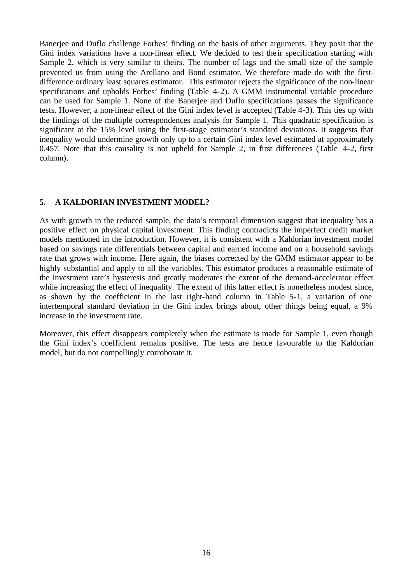Banerjee and Duflo challenge Forbes' finding on the basis of other arguments. They posit that the Gini index variations have a non-linear effect. We decided to test the ir specification starting with Sample 2, which is very similar to theirs. The number of lags and the small size of the sample prevented us from using the Arellano and Bond estimator. We therefore made do with the firstdifference ordinary least squares estimator. This estimator rejects the significance of the non-linear specifications and upholds Forbes' finding (Table 4-2). A GMM instrumental variable procedure can be used for Sample 1. None of the Banerjee and Duflo specifications passes the significance tests. However, a non-linear effect of the Gini index level is accepted (Table 4-3). This ties up with the findings of the multiple correspondences analysis for Sample 1. This quadratic specification is significant at the 15% level using the first-stage estimator's standard deviations. It suggests that inequality would undermine growth only up to a certain Gini index level estimated at approximately 0.457. Note that this causality is not upheld for Sample 2, in first differences (Table 4-2, first column).

# **5. A KALDORIAN INVESTMENT MODEL?**

As with growth in the reduced sample, the data's temporal dimension suggest that inequality has a positive effect on physical capital investment. This finding contradicts the imperfect credit market models mentioned in the introduction. However, it is consistent with a Kaldorian investment model based on savings rate differentials between capital and earned income and on a household savings rate that grows with income. Here again, the biases corrected by the GMM estimator appear to be highly substantial and apply to all the variables. This estimator produces a reasonable estimate of the investment rate's hysteresis and greatly moderates the extent of the demand-accelerator effect while increasing the effect of inequality. The extent of this latter effect is nonetheless modest since, as shown by the coefficient in the last right-hand column in Table 5-1, a variation of one intertemporal standard deviation in the Gini index brings about, other things being equal, a 9% increase in the investment rate.

Moreover, this effect disappears completely when the estimate is made for Sample 1, even though the Gini index's coefficient remains positive. The tests are hence favourable to the Kaldorian model, but do not compellingly corroborate it.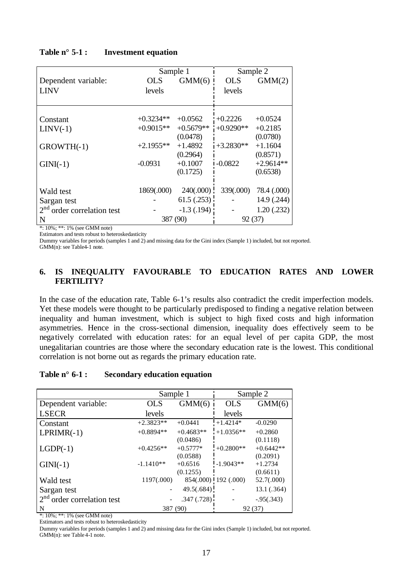|                                           | Sample 1    |                |             | Sample 2    |
|-------------------------------------------|-------------|----------------|-------------|-------------|
| Dependent variable:                       | <b>OLS</b>  | GMM(6)         | <b>OLS</b>  | GMM(2)      |
| <b>LINV</b>                               | levels      |                | levels      |             |
|                                           |             |                |             |             |
|                                           |             |                |             |             |
| Constant                                  | $+0.3234**$ | $+0.0562$      | $+0.2226$   | $+0.0524$   |
| $LINV(-1)$                                | $+0.9015**$ | $+0.5679**$    | $+0.9290**$ | $+0.2185$   |
|                                           |             | (0.0478)       |             | (0.0780)    |
| GROWTH(-1)                                | $+2.1955**$ | $+1.4892$      | $+3.2830**$ | $+1.1604$   |
|                                           |             | (0.2964)       |             | (0.8571)    |
| $GINI(-1)$                                | $-0.0931$   | $+0.1007$      | $-0.0822$   | $+2.9614**$ |
|                                           |             | (0.1725)       |             | (0.6538)    |
|                                           |             |                |             |             |
| Wald test                                 | 1869(.000)  | 240(.000)      | 339(.000)   | 78.4 (.000) |
| Sargan test                               |             | 61.5(.253)     |             | 14.9 (.244) |
| 2 <sup>nd</sup><br>order correlation test |             | $-1.3$ (.194): |             | 1.20(0.232) |
| N                                         | 387 (90)    |                | 92(37)      |             |

# **Table n° 5-1 : Investment equation**

\*: 10%; \*\*: 1% (see GMM note) Estimators and tests robust to heteroskedasticity

Dummy variables for periods (samples 1 and 2) and missing data for the Gini index (Sample 1) included, but not reported.

GMM(n): see Table4-1 note.

# **6. IS INEQUALITY FAVOURABLE TO EDUCATION RATES AND LOWER FERTILITY?**

In the case of the education rate, Table 6-1's results also contradict the credit imperfection models. Yet these models were thought to be particularly predisposed to finding a negative relation between inequality and human investment, which is subject to high fixed costs and high information asymmetries. Hence in the cross-sectional dimension, inequality does effectively seem to be negatively correlated with education rates: for an equal level of per capita GDP, the most unegalitarian countries are those where the secondary education rate is the lowest. This conditional correlation is not borne out as regards the primary education rate.

## **Table n° 6-1 : Secondary education equation**

|                              | Sample 1    |             |                      | Sample 2      |
|------------------------------|-------------|-------------|----------------------|---------------|
| Dependent variable:          | <b>OLS</b>  | GMM(6)      | <b>OLS</b>           | GMM(6)        |
| <b>LSECR</b>                 | levels      |             | levels               |               |
| Constant                     | $+2.3823**$ | $+0.0441$   | $+1.4214*$           | $-0.0290$     |
| $LPRIMR(-1)$                 | $+0.8894**$ | $+0.4683**$ | $+1.0356**$          | $+0.2860$     |
|                              |             | (0.0486)    |                      | (0.1118)      |
| $LGDP(-1)$                   | $+0.4256**$ | $+0.5777*$  | $+0.2800**$          | $+0.6442**$   |
|                              |             | (0.0588)    |                      | (0.2091)      |
| $GINI(-1)$                   | $-1.1410**$ | $+0.6516$   | $-1.9043**$          | $+1.2734$     |
|                              |             | (0.1255)    |                      | (0.6611)      |
| Wald test                    | 1197(.000)  |             | 854(.000) 192 (.000) | 52.7(.000)    |
| Sargan test                  |             | 49.5(.684)  |                      | 13.1 (.364)   |
| $2nd$ order correlation test |             | .347(.728)  |                      | $-0.95(.343)$ |
| N                            | 387 (90)    |             | 92(37)               |               |

\*: 10%; \*\*: 1% (see GMM note)

Estimators and tests robust to heteroskedasticity

Dummy variables for periods (samples 1 and 2) and missing data for the Gini index (Sample 1) included, but not reported.  $GMM(n)$ : see Table 4-1 note.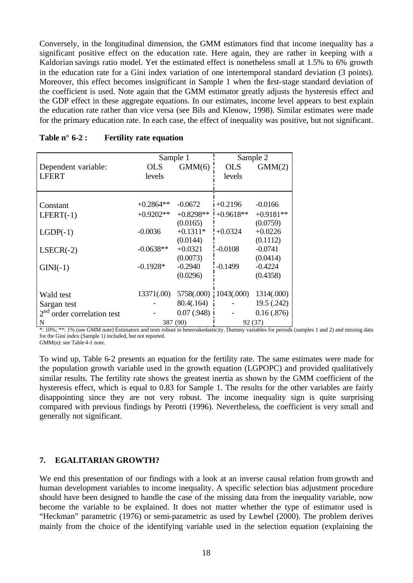Conversely, in the longitudinal dimension, the GMM estimators find that income inequality has a significant positive effect on the education rate. Here again, they are rather in keeping with a Kaldorian savings ratio model. Yet the estimated effect is nonetheless small at 1.5% to 6% growth in the education rate for a Gini index variation of one intertemporal standard deviation (3 points). Moreover, this effect becomes insignificant in Sample 1 when the first-stage standard deviation of the coefficient is used. Note again that the GMM estimator greatly adjusts the hysteresis effect and the GDP effect in these aggregate equations. In our estimates, income level appears to best explain the education rate rather than vice versa (see Bils and Klenow, 1998). Similar estimates were made for the primary education rate. In each case, the effect of inequality was positive, but not significant.

|                                           | Sample 1    |             |             | Sample 2    |
|-------------------------------------------|-------------|-------------|-------------|-------------|
| Dependent variable:                       | <b>OLS</b>  | GMM(6)      | <b>OLS</b>  | GMM(2)      |
| <b>LFERT</b>                              | levels      |             | levels      |             |
|                                           |             |             |             |             |
|                                           |             |             |             |             |
| Constant                                  | $+0.2864**$ | $-0.0672$   | $+0.2196$   | $-0.0166$   |
| $LFERT(-1)$                               | $+0.9202**$ | $+0.8298**$ | $+0.9618**$ | $+0.9181**$ |
|                                           |             | (0.0165)    |             | (0.0759)    |
| $LGDP(-1)$                                | $-0.0036$   | $+0.1311*$  | $+0.0324$   | $+0.0226$   |
|                                           |             | (0.0144)    |             | (0.1112)    |
| $LSECR(-2)$                               | $-0.0638**$ | $+0.0321$   | $-0.0108$   | $-0.0741$   |
|                                           |             | (0.0073)    |             | (0.0414)    |
| $GINI(-1)$                                | $-0.1928*$  | $-0.2940$   | $-0.1499$   | $-0.4224$   |
|                                           |             | (0.0296)    |             | (0.4358)    |
|                                           |             |             |             |             |
| Wald test                                 | 13371(.00)  | 5758(.000)  | 1043(.000)  | 1314(.000)  |
| Sargan test                               |             | 80.4(.164)  |             | 19.5 (.242) |
| 2 <sup>nd</sup><br>order correlation test |             | 0.07(0.948) |             | 0.16(.876)  |
| $\mathbf N$                               |             | 387 (90)    | 92 (37)     |             |

\*: 10%; \*\*: 1% (see GMM note) Estimators and tests robust to heteroskedasticity. Dummy variables for periods (samples 1 and 2) and missing data for the Gini index (Sample 1) included, but not reported.

GMM(n): see Table 4-1 note.

To wind up, Table 6-2 presents an equation for the fertility rate. The same estimates were made for the population growth variable used in the growth equation (LGPOPC) and provided qualitatively similar results. The fertility rate shows the greatest inertia as shown by the GMM coefficient of the hysteresis effect, which is equal to 0.83 for Sample 1. The results for the other variables are fairly disappointing since they are not very robust. The income inequality sign is quite surprising compared with previous findings by Perotti (1996). Nevertheless, the coefficient is very small and generally not significant.

## **7. EGALITARIAN GROWTH?**

We end this presentation of our findings with a look at an inverse causal relation from growth and human development variables to income inequality. A specific selection bias adjustment procedure should have been designed to handle the case of the missing data from the inequality variable, now become the variable to be explained. It does not matter whether the type of estimator used is "Heckman" parametric (1976) or semi-parametric as used by Lewbel (2000). The problem derives mainly from the choice of the identifying variable used in the selection equation (explaining the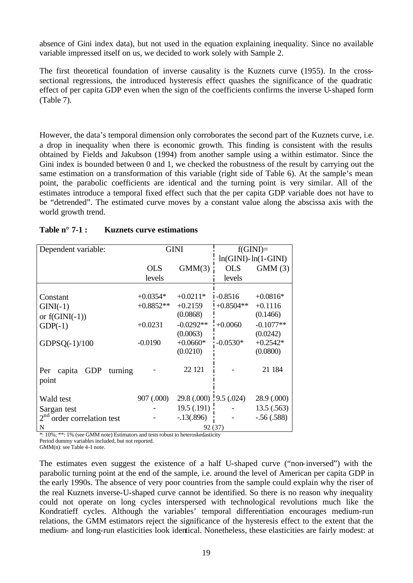absence of Gini index data), but not used in the equation explaining inequality. Since no available variable impressed itself on us, we decided to work solely with Sample 2.

The first theoretical foundation of inverse causality is the Kuznets curve (1955). In the crosssectional regressions, the introduced hysteresis effect quashes the significance of the quadratic effect of per capita GDP even when the sign of the coefficients confirms the inverse U-shaped form (Table 7).

However, the data's temporal dimension only corroborates the second part of the Kuznets curve, i.e. a drop in inequality when there is economic growth. This finding is consistent with the results obtained by Fields and Jakubson (1994) from another sample using a within estimator. Since the Gini index is bounded between 0 and 1, we checked the robustness of the result by carrying out the same estimation on a transformation of this variable (right side of Table 6). At the sample's mean point, the parabolic coefficients are identical and the turning point is very similar. All of the estimates introduce a temporal fixed effect such that the per capita GDP variable does not have to be "detrended". The estimated curve moves by a constant value along the abscissa axis with the world growth trend.

| Dependent variable:                       |             | <b>GINI</b>            |                           | $f(GINI)=$   |
|-------------------------------------------|-------------|------------------------|---------------------------|--------------|
|                                           |             |                        | $ln(GINI)$ - $ln(1-GINI)$ |              |
|                                           | <b>OLS</b>  | GMM(3)                 | <b>OLS</b>                | GMM(3)       |
|                                           | levels      |                        | levels                    |              |
|                                           |             |                        |                           |              |
| Constant                                  | $+0.0354*$  | $+0.0211*$             | $-0.8516$                 | $+0.0816*$   |
| $GINI(-1)$                                | $+0.8852**$ | $+0.2159$              | $+0.8504**$               | $+0.1116$    |
| or $f(GINI(-1))$                          |             | (0.0868)               |                           | (0.1466)     |
| $GDP(-1)$                                 | $+0.0231$   | $-0.0292**$            | $+0.0060$                 | $-0.1077**$  |
|                                           |             | (0.0063)               |                           | (0.0242)     |
| GDPSQ $(-1)/100$                          | $-0.0190$   | $+0.0660*$             | $-0.0530*$                | $+0.2542*$   |
|                                           |             | (0.0210)               |                           | (0.0800)     |
|                                           |             |                        |                           |              |
| <b>GDP</b><br>capita<br>Per<br>turning    |             | 22 12 1                |                           | 21 184       |
| point                                     |             |                        |                           |              |
|                                           |             |                        |                           |              |
| Wald test                                 | 907 (.000)  | 29.8 (.000) 9.5 (.024) |                           | 28.9 (.000)  |
| Sargan test                               |             | 19.5 (.191)            |                           | 13.5(.563)   |
| 2 <sup>nd</sup><br>order correlation test |             | $-.13(.896)$           |                           | $-.56(.588)$ |
| N                                         |             | 92 (37)                |                           |              |

| Table $n^{\circ}$ 7-1 :<br><b>Kuznets curve estimations</b> |  |
|-------------------------------------------------------------|--|
|-------------------------------------------------------------|--|

\*: 10%; \*\*: 1% (see GMM note) Estimators and tests robust to heteroskedasticity

Period dummy variables included, but not reported.

GMM(n): see Table 4-1 note.

The estimates even suggest the existence of a half U-shaped curve ("non-inversed") with the parabolic turning point at the end of the sample, i.e. around the level of American per capita GDP in the early 1990s. The absence of very poor countries from the sample could explain why the riser of the real Kuznets inverse-U-shaped curve cannot be identified. So there is no reason why inequality could not operate on long cycles interspersed with technological revolutions much like the Kondratieff cycles. Although the variables' temporal differentiation encourages medium-run relations, the GMM estimators reject the significance of the hysteresis effect to the extent that the medium- and long-run elasticities look identical. Nonetheless, these elasticities are fairly modest: at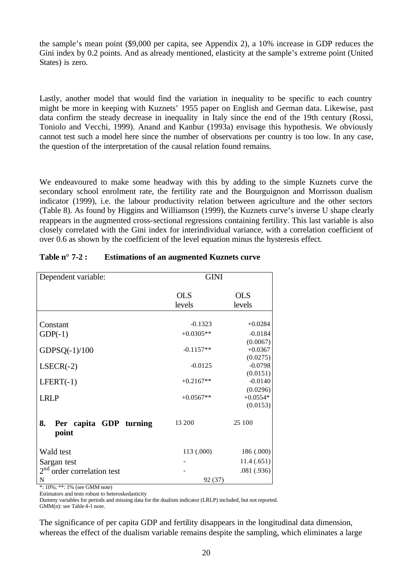the sample's mean point (\$9,000 per capita, see Appendix 2), a 10% increase in GDP reduces the Gini index by 0.2 points. And as already mentioned, elasticity at the sample's extreme point (United States) is zero.

Lastly, another model that would find the variation in inequality to be specific to each country might be more in keeping with Kuznets' 1955 paper on English and German data. Likewise, past data confirm the steady decrease in inequality in Italy since the end of the 19th century (Rossi, Toniolo and Vecchi, 1999). Anand and Kanbur (1993a) envisage this hypothesis. We obviously cannot test such a model here since the number of observations per country is too low. In any case, the question of the interpretation of the causal relation found remains.

We endeavoured to make some headway with this by adding to the simple Kuznets curve the secondary school enrolment rate, the fertility rate and the Bourguignon and Morrisson dualism indicator (1999), i.e. the labour productivity relation between agriculture and the other sectors (Table 8). As found by Higgins and Williamson (1999), the Kuznets curve's inverse U shape clearly reappears in the augmented cross-sectional regressions containing fertility. This last variable is also closely correlated with the Gini index for interindividual variance, with a correlation coefficient of over 0.6 as shown by the coefficient of the level equation minus the hysteresis effect.

| Dependent variable:                       | <b>GINI</b>          |                        |
|-------------------------------------------|----------------------|------------------------|
|                                           | <b>OLS</b><br>levels | <b>OLS</b><br>levels   |
|                                           | $-0.1323$            | $+0.0284$              |
| Constant                                  | $+0.0305**$          | $-0.0184$              |
| $GDP(-1)$                                 |                      | (0.0067)               |
| GDPSQ(-1)/100                             | $-0.1157**$          | $+0.0367$              |
|                                           |                      | (0.0275)               |
| $LSECR(-2)$                               | $-0.0125$            | $-0.0798$              |
|                                           |                      | (0.0151)               |
| $LFERT(-1)$                               | $+0.2167**$          | $-0.0140$              |
| <b>LRLP</b>                               | $+0.0567**$          | (0.0296)<br>$+0.0554*$ |
|                                           |                      | (0.0153)               |
|                                           |                      |                        |
| 8.<br>Per capita GDP turning              | 13 200               | 25 100                 |
| point                                     |                      |                        |
| Wald test                                 | 113 (.000)           | 186 (.000)             |
| Sargan test                               |                      | 11.4(0.651)            |
| 2 <sup>nd</sup><br>order correlation test |                      | .081(.936)             |
| $\mathbf N$                               | 92 (37)              |                        |

| Table $n^{\circ}$ 7-2 : | <b>Estimations of an augmented Kuznets curve</b> |
|-------------------------|--------------------------------------------------|
|-------------------------|--------------------------------------------------|

\*: 10%; \*\*: 1% (see GMM note)

Estimators and tests robust to heteroskedasticity

Dummy variables for periods and missing data for the dualism indicator (LRLP) included, but not reported. GMM(n): see Table 4-1 note.

The significance of per capita GDP and fertility disappears in the longitudinal data dimension, whereas the effect of the dualism variable remains despite the sampling, which eliminates a large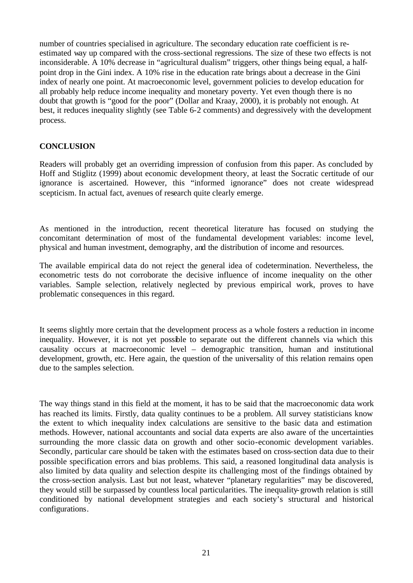number of countries specialised in agriculture. The secondary education rate coefficient is reestimated way up compared with the cross-sectional regressions. The size of these two effects is not inconsiderable. A 10% decrease in "agricultural dualism" triggers, other things being equal, a halfpoint drop in the Gini index. A 10% rise in the education rate brings about a decrease in the Gini index of nearly one point. At macroeconomic level, government policies to develop education for all probably help reduce income inequality and monetary poverty. Yet even though there is no doubt that growth is "good for the poor" (Dollar and Kraay, 2000), it is probably not enough. At best, it reduces inequality slightly (see Table 6-2 comments) and degressively with the development process.

# **CONCLUSION**

Readers will probably get an overriding impression of confusion from this paper. As concluded by Hoff and Stiglitz (1999) about economic development theory, at least the Socratic certitude of our ignorance is ascertained. However, this "informed ignorance" does not create widespread scepticism. In actual fact, avenues of research quite clearly emerge.

As mentioned in the introduction, recent theoretical literature has focused on studying the concomitant determination of most of the fundamental development variables: income level, physical and human investment, demography, and the distribution of income and resources.

The available empirical data do not reject the general idea of codetermination. Nevertheless, the econometric tests do not corroborate the decisive influence of income inequality on the other variables. Sample selection, relatively neglected by previous empirical work, proves to have problematic consequences in this regard.

It seems slightly more certain that the development process as a whole fosters a reduction in income inequality. However, it is not yet possible to separate out the different channels via which this causality occurs at macroeconomic level – demographic transition, human and institutional development, growth, etc. Here again, the question of the universality of this relation remains open due to the samples selection.

The way things stand in this field at the moment, it has to be said that the macroeconomic data work has reached its limits. Firstly, data quality continues to be a problem. All survey statisticians know the extent to which inequality index calculations are sensitive to the basic data and estimation methods. However, national accountants and social data experts are also aware of the uncertainties surrounding the more classic data on growth and other socio-economic development variables. Secondly, particular care should be taken with the estimates based on cross-section data due to their possible specification errors and bias problems. This said, a reasoned longitudinal data analysis is also limited by data quality and selection despite its challenging most of the findings obtained by the cross-section analysis. Last but not least, whatever "planetary regularities" may be discovered, they would still be surpassed by countless local particularities. The inequality-growth relation is still conditioned by national development strategies and each society's structural and historical configurations.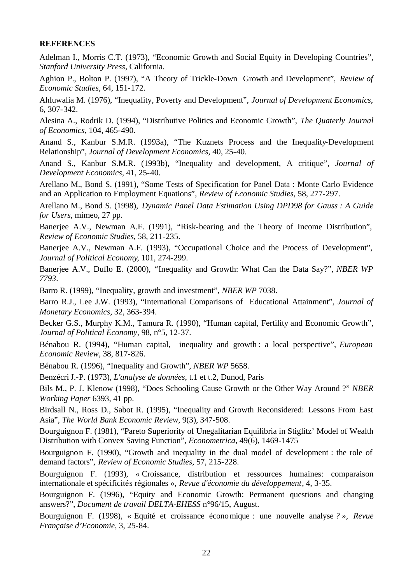## **REFERENCES**

Adelman I., Morris C.T. (1973), "Economic Growth and Social Equity in Developing Countries", *Stanford University Press,* California.

Aghion P., Bolton P. (1997), "A Theory of Trickle-Down Growth and Development", *Review of Economic Studies,* 64, 151-172.

Ahluwalia M. (1976), "Inequality, Poverty and Development", *Journal of Development Economics*, 6, 307-342.

Alesina A., Rodrik D. (1994), "Distributive Politics and Economic Growth", *The Quaterly Journal of Economics*, 104, 465-490.

Anand S., Kanbur S.M.R. (1993a), "The Kuznets Process and the Inequality-Development Relationship", *Journal of Development Economics,* 40, 25-40.

Anand S., Kanbur S.M.R. (1993b), "Inequality and development, A critique", *Journal of Development Economics,* 41, 25-40.

Arellano M., Bond S. (1991), "Some Tests of Specification for Panel Data : Monte Carlo Evidence and an Application to Employment Equations"*, Review of Economic Studies*, 58, 277-297.

Arellano M., Bond S. (1998), *Dynamic Panel Data Estimation Using DPD98 for Gauss : A Guide for Users*, mimeo, 27 pp.

Banerjee A.V., Newman A.F. (1991), "Risk-bearing and the Theory of Income Distribution", *Review of Economic Studies,* 58, 211-235.

Banerjee A.V., Newman A.F. (1993), "Occupational Choice and the Process of Development", *Journal of Political Economy*, 101, 274-299.

Banerjee A.V., Duflo E. (2000), *"*Inequality and Growth: What Can the Data Say?", *NBER WP 7793*.

Barro R. (1999), "Inequality, growth and investment", *NBER WP* 7038.

Barro R.J., Lee J.W. (1993), "International Comparisons of Educational Attainment"*, Journal of Monetary Economics*, 32, 363-394.

Becker G.S., Murphy K.M., Tamura R. (1990), "Human capital, Fertility and Economic Growth", *Journal of Political Economy,* 98, n°5, 12-37.

Bénabou R. (1994), "Human capital, inequality and growth : a local perspective", *European Economic Review,* 38, 817-826.

Bénabou R. (1996), "Inequality and Growth", *NBER WP* 5658.

Benzécri J.-P. (1973), *L'analyse de données*, t.1 et t.2, Dunod, Paris

Bils M., P. J. Klenow (1998), "Does Schooling Cause Growth or the Other Way Around ?" *NBER Working Paper* 6393, 41 pp.

Birdsall N., Ross D., Sabot R. (1995), "Inequality and Growth Reconsidered: Lessons From East Asia", *The World Bank Economic Review*, 9(3), 347-508.

Bourguignon F. (1981), "Pareto Superiority of Unegalitarian Equilibria in Stiglitz' Model of Wealth Distribution with Convex Saving Function", *Econometrica*, 49(6), 1469-1475

Bourguignon F. (1990), "Growth and inequality in the dual model of development : the role of demand factors", *Review of Economic Studies*, 57, 215-228.

Bourguignon F. (1993), « Croissance, distribution et ressources humaines: comparaison internationale et spécificités régionales », *Revue d'économie du développement*, 4, 3-35.

Bourguignon F. (1996), "Equity and Economic Growth: Permanent questions and changing answers?", *Document de travail DELTA-EHESS* n°96/15, August.

Bourguignon F. (1998), « Equité et croissance économique : une nouvelle analyse *? », Revue Française d'Economie*, 3, 25-84.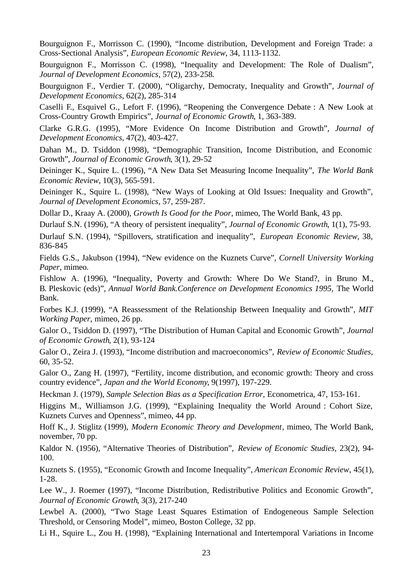Bourguignon F., Morrisson C. (1990), "Income distribution, Development and Foreign Trade: a Cross-Sectional Analysis", *European Economic Review*, 34, 1113-1132.

Bourguignon F., Morrisson C. (1998), "Inequality and Development: The Role of Dualism", *Journal of Development Economics*, 57(2), 233-258*.* 

Bourguignon F., Verdier T. (2000), "Oligarchy, Democraty, Inequality and Growth*", Journal of Development Economics*, 62(2), 285-314

Caselli F., Esquivel G., Lefort F. (1996), "Reopening the Convergence Debate : A New Look at Cross-Country Growth Empirics", *Journal of Economic Growth*, 1, 363-389.

Clarke G.R.G. (1995), "More Evidence On Income Distribution and Growth", *Journal of Development Economics,* 47(2), 403-427.

Dahan M., D. Tsiddon (1998), "Demographic Transition, Income Distribution, and Economic Growth", *Journal of Economic Growth*, 3(1), 29-52

Deininger K., Squire L. (1996), "A New Data Set Measuring Income Inequality", *The World Bank Economic Review*, 10(3), 565-591.

Deininger K., Squire L. (1998), "New Ways of Looking at Old Issues: Inequality and Growth", *Journal of Development Economics*, 57, 259-287.

Dollar D., Kraay A. (2000), *Growth Is Good for the Poor*, mimeo, The World Bank, 43 pp.

Durlauf S.N. (1996), "A theory of persistent inequality", *Journal of Economic Growth*, 1(1), 75-93.

Durlauf S.N. (1994), "Spillovers, stratification and inequality", *European Economic Review*, 38, 836-845

Fields G.S., Jakubson (1994), "New evidence on the Kuznets Curve"*, Cornell University Working Paper*, mimeo.

Fishlow A. (1996), "Inequality, Poverty and Growth: Where Do We Stand?, in Bruno M., B. Pleskovic (eds)", *Annual World Bank.Conference on Development Economics 1995,* The World Bank.

Forbes K.J. (1999), "A Reassessment of the Relationship Between Inequality and Growth*", MIT Working Paper*, mimeo, 26 pp.

Galor O., Tsiddon D. (1997), "The Distribution of Human Capital and Economic Growth", *Journal of Economic Growth*, 2(1), 93-124

Galor O., Zeira J. (1993), "Income distribution and macroeconomics", *Review of Economic Studies*, 60, 35-52.

Galor O., Zang H. (1997), "Fertility, income distribution, and economic growth: Theory and cross country evidence", *Japan and the World Economy*, 9(1997), 197-229.

Heckman J. (1979), *Sample Selection Bias as a Specification Error*, Econometrica, 47, 153-161.

Higgins M., Williamson J.G. (1999), "Explaining Inequality the World Around : Cohort Size, Kuznets Curves and Openness", mimeo, 44 pp.

Hoff K., J. Stiglitz (1999), *Modern Economic Theory and Development*, mimeo, The World Bank, november, 70 pp.

Kaldor N. (1956), "Alternative Theories of Distribution", *Review of Economic Studies*, 23(2), 94- 100.

Kuznets S. (1955), "Economic Growth and Income Inequality", *American Economic Review*, 45(1), 1-28.

Lee W., J. Roemer (1997), "Income Distribution, Redistributive Politics and Economic Growth", *Journal of Economic Growth*, 3(3), 217-240

Lewbel A. (2000), "Two Stage Least Squares Estimation of Endogeneous Sample Selection Threshold, or Censoring Model", mimeo, Boston College, 32 pp.

Li H., Squire L., Zou H. (1998), "Explaining International and Intertemporal Variations in Income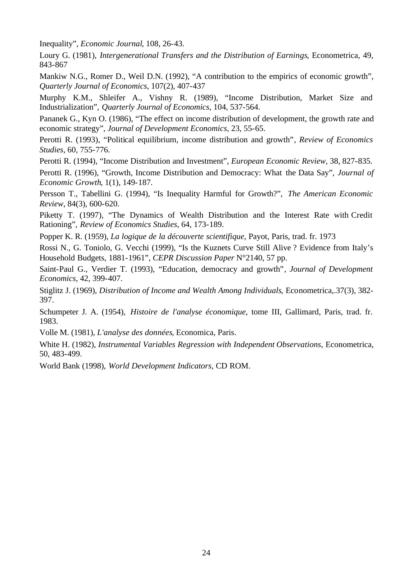Inequality", *Economic Journal*, 108, 26-43.

Loury G. (1981), *Intergenerational Transfers and the Distribution of Earnings*, Econometrica, 49, 843-867

Mankiw N.G., Romer D., Weil D.N. (1992), "A contribution to the empirics of economic growth", *Quarterly Journal of Economics*, 107(2), 407-437

Murphy K.M., Shleifer A., Vishny R. (1989), "Income Distribution, Market Size and Industrialization", *Quarterly Journal of Economics*, 104, 537-564.

Pananek G., Kyn O. (1986), "The effect on income distribution of development, the growth rate and economic strategy", *Journal of Development Economics*, 23, 55-65.

Perotti R. (1993), "Political equilibrium, income distribution and growth"*, Review of Economics Studies*, 60, 755-776.

Perotti R. (1994), "Income Distribution and Investment", *European Economic Review*, 38, 827-835.

Perotti R. (1996), "Growth, Income Distribution and Democracy: What the Data Say", *Journal of Economic Growth*, 1(1), 149-187.

Persson T., Tabellini G. (1994), "Is Inequality Harmful for Growth?", *The American Economic Review*, 84(3), 600-620.

Piketty T. (1997), "The Dynamics of Wealth Distribution and the Interest Rate with Credit Rationing", *Review of Economics Studies*, 64, 173-189.

Popper K. R. (1959), *La logique de la découverte scientifique*, Payot, Paris, trad. fr. 1973

Rossi N., G. Toniolo, G. Vecchi (1999), "Is the Kuznets Curve Still Alive ? Evidence from Italy's Household Budgets, 1881-1961", *CEPR Discussion Paper* N°2140, 57 pp.

Saint-Paul G., Verdier T. (1993), "Education, democracy and growth"*, Journal of Development Economics*, 42, 399-407.

Stiglitz J. (1969), *Distribution of Income and Wealth Among Individuals*, Econometrica,.37(3), 382- 397.

Schumpeter J. A. (1954), *Histoire de l'analyse économique*, tome III, Gallimard, Paris, trad. fr. 1983.

Volle M. (1981), *L'analyse des données*, Economica, Paris.

White H. (1982), *Instrumental Variables Regression with Independent Observations*, Econometrica, 50, 483-499.

World Bank (1998), *World Development Indicators*, CD ROM.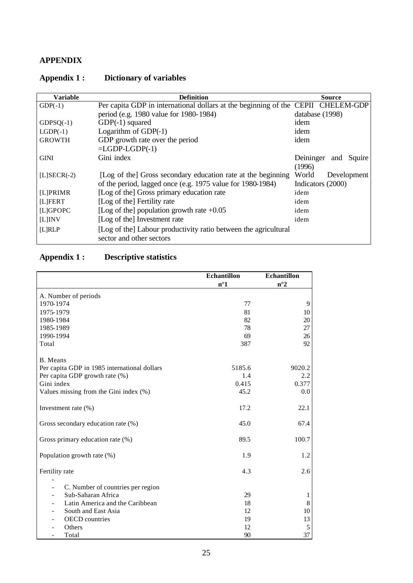# **APPENDIX**

| <b>Variable</b> | <b>Definition</b>                                                                | <b>Source</b>              |
|-----------------|----------------------------------------------------------------------------------|----------------------------|
| $GDP(-1)$       | Per capita GDP in international dollars at the beginning of the CEPII CHELEM-GDP |                            |
|                 | period (e.g. 1980 value for 1980-1984)                                           | database (1998)            |
| $GDPSQ(-1)$     | $GDP(-1)$ squared                                                                | idem                       |
| $LGDP(-1)$      | Logarithm of $GDP(-1)$                                                           | idem                       |
| <b>GROWTH</b>   | GDP growth rate over the period                                                  | idem                       |
|                 | $= LGDP-LGDP(-1)$                                                                |                            |
| <b>GINI</b>     | Gini index                                                                       | Deininger<br>Squire<br>and |
|                 |                                                                                  | (1996)                     |
| $[L] SECR(-2)$  | [Log of the] Gross secondary education rate at the beginning                     | World<br>Development       |
|                 | of the period, lagged once (e.g. 1975 value for 1980-1984)                       | Indicators (2000)          |
| [L]PRIMR        | [Log of the] Gross primary education rate                                        | idem                       |
| [L]FERT         | [Log of the] Fertility rate                                                      | idem                       |
| [L]GPOPC        | [Log of the] population growth rate $+0.05$                                      | idem                       |
| $[L]$ INV       | [Log of the] Investment rate                                                     | idem                       |
| [L]RLP          | [Log of the] Labour productivity ratio between the agricultural                  |                            |
|                 | sector and other sectors                                                         |                            |

# **Appendix 1 : Dictionary of variables**

# **Appendix 1 : Descriptive statistics**

|                                                         | <b>Echantillon</b> | <b>Echantillon</b> |
|---------------------------------------------------------|--------------------|--------------------|
|                                                         | $n^{\circ}1$       | $n^{\circ}2$       |
| A. Number of periods                                    |                    |                    |
| 1970-1974                                               | 77                 | 9                  |
| 1975-1979                                               | 81                 | 10                 |
| 1980-1984                                               | 82                 | 20                 |
| 1985-1989                                               | 78                 | 27                 |
| 1990-1994                                               | 69                 | 26                 |
| Total                                                   | 387                | 92                 |
| B. Means                                                |                    |                    |
| Per capita GDP in 1985 international dollars            | 5185.6             | 9020.2             |
| Per capita GDP growth rate (%)                          | 1.4                | 2.2                |
| Gini index                                              | 0.415              | 0.377              |
| Values missing from the Gini index (%)                  | 45.2               | 0.0                |
| Investment rate (%)                                     | 17.2               | 22.1               |
| Gross secondary education rate (%)                      | 45.0               | 67.4               |
| Gross primary education rate (%)                        | 89.5               | 100.7              |
| Population growth rate (%)                              | 1.9                | 1.2                |
| Fertility rate                                          | 4.3                | 2.6                |
| $\overline{a}$                                          |                    |                    |
| C. Number of countries per region<br>Sub-Saharan Africa | 29                 |                    |
| Latin America and the Caribbean                         | 18                 | 1<br>8             |
| South and East Asia                                     | 12                 | 10                 |
| <b>OECD</b> countries                                   | 19                 | 13                 |
| Others                                                  | 12                 | 5                  |
| Total                                                   | 90                 | 37                 |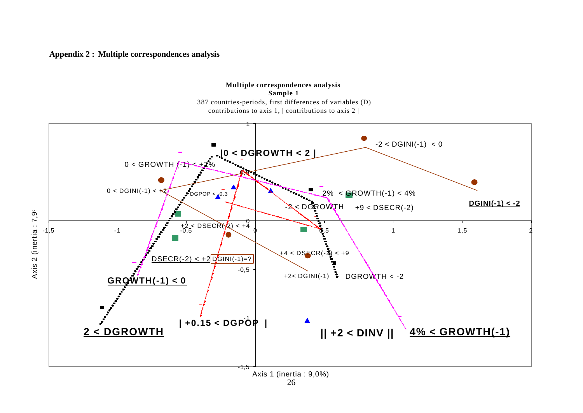#### **Appendix 2 : Multiple correspondences analysis**



26